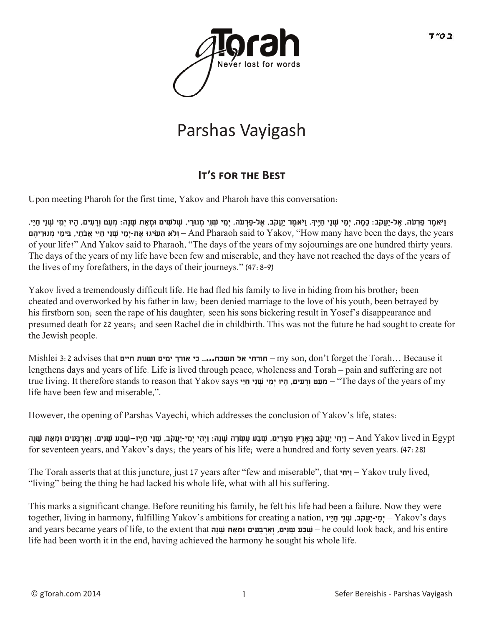

# Parshas Vayigash

## **It's for t�e Best**

Upon meeting Pharoh for the first time, Yakov and Pharoh have this conversation:

וַיֹּאמֶר פַרְעֹה, אֶל-יַעֲקֹב: כַּמָּה, יְמֵי שְׁנֵי חַיֵּיךְ. וַיֹּאמֶר יַעֲקֹב, אֶל-פַרְעֹה, יְמֵי שְׁנֵי מָעִי שְׁנֵי מָל-מִ גּוּ יִמֶי יִמֶי יִמֶי שְׁנֵי חָיַי, years the ,days the been have many How ",Yakov to said Pharaoh And – **וְֹלא הִ שִ ּׂיגּו אֶ ת-יְמֵ י שְ ׁנֵי חַ יֵּי אֲבֹתַ י, בִ ּימֵ י מְ גּורֵ יהֶ ם** of your life?" And Yakov said to Pharaoh, "The days of the years of my sojournings are one hundred thirty years. The days of the years of my life have been few and miserable, and they have not reached the days of the years of the lives of my forefathers, in the days of their journeys." (47:8-9)

Yakov lived a tremendously difficult life. He had fled his family to live in hiding from his brother; been cheated and overworked by his father in law; been denied marriage to the love of his youth, been betrayed by his firstborn son; seen the rape of his daughter; seen his sons bickering result in Yosef's disappearance and presumed death for 22 years; and seen Rachel die in childbirth. This was not the future he had sought to create for the Jewish people.

Mishlei 3:2 advises that **חיים ושנות ימים אורך כי .....תשכח אל תורתי** – my son, don't forget the Torah… Because it lengthens days and years of life. Life is lived through peace, wholeness and Torah – pain and suffering are not true living. It therefore stands to reason that Yakov says חֵיֵי יָמֵי שְׁנֵי חַיַּי says וְרָעִים, הָיוּ יְמֵי שָׁנֵי חַיַּי says of the years of my life have been few and miserable,".

However, the opening of Parshas Vayechi, which addresses the conclusion of Yakov's life, states:

And Yakov lived in Egypt – וַיִחִי יַעֲקֹב בְּאֶרֶץ מִצְרַים, שִׁבַּע עֶשְׂרֶה שָׁנָה; וַיְהִי יָמֵי-יַעֲקֹב, שָׁנֶי הַיֶּיוּ– And Yakov lived in Egypt for seventeen years, and Yakov's days; the years of his life; were a hundred and forty seven years. (47:28)

The Torah asserts that at this juncture, just 17 years after "few and miserable", that **י ִחְיַו** – Yakov truly lived, "living" being the thing he had lacked his whole life, what with all his suffering.

This marks a significant change. Before reuniting his family, he felt his life had been a failure. Now they were together, living in harmony, fulfilling Yakov's ambitions for creating a nation, **יוָּי ַח יֵנׁ ְש ,בֹקֲעַי-י ֵמְי** – Yakov's days and years became years of life, to the extent that **הָנׁ ָש אתַ ְומּ ים ִעָּב ְארְַו ,יםִנׁ ָש ע ַבׁ ֶש** – he could look back, and his entire life had been worth it in the end, having achieved the harmony he sought his whole life.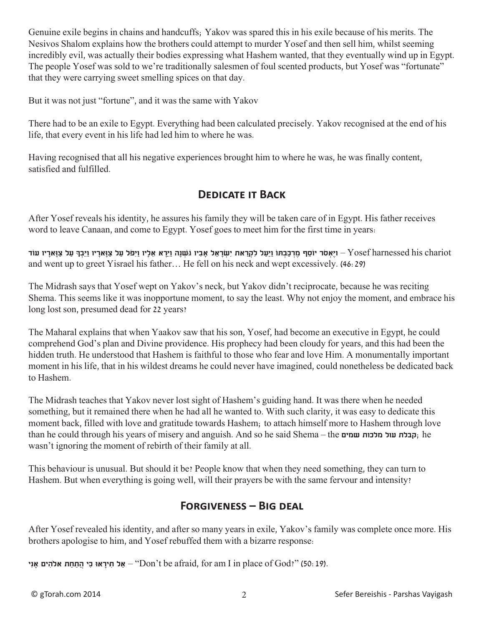Genuine exile begins in chains and handcuffs; Yakov was spared this in his exile because of his merits. The Nesivos Shalom explains how the brothers could attempt to murder Yosef and then sell him, whilst seeming incredibly evil, was actually their bodies expressing what Hashem wanted, that they eventually wind up in Egypt. The people Yosef was sold to we're traditionally salesmen of foul scented products, but Yosef was "fortunate" that they were carrying sweet smelling spices on that day.

But it was not just "fortune", and it was the same with Yakov

There had to be an exile to Egypt. Everything had been calculated precisely. Yakov recognised at the end of his life, that every event in his life had led him to where he was.

Having recognised that all his negative experiences brought him to where he was, he was finally content, satisfied and fulfilled.

#### **Dedicate it Back**

After Yosef reveals his identity, he assures his family they will be taken care of in Egypt. His father receives word to leave Canaan, and come to Egypt. Yosef goes to meet him for the first time in years:

יִּאָסֹר יוֹסִף מרכּבִתּוֹ ויעל לקראת ישׂראל אַביו גּשׁנה ויִיאַ אַליו ויִפּל על צַוּאָריו וַיִּבַּףְ עַל צַוּאָריו עוֹד – Yosef harnessed his chariot and went up to greet Yisrael his father… He fell on his neck and wept excessively. (46:29)

The Midrash says that Yosef wept on Yakov's neck, but Yakov didn't reciprocate, because he was reciting Shema. This seems like it was inopportune moment, to say the least. Why not enjoy the moment, and embrace his long lost son, presumed dead for 22 years?

The Maharal explains that when Yaakov saw that his son, Yosef, had become an executive in Egypt, he could comprehend God's plan and Divine providence. His prophecy had been cloudy for years, and this had been the hidden truth. He understood that Hashem is faithful to those who fear and love Him. A monumentally important moment in his life, that in his wildest dreams he could never have imagined, could nonetheless be dedicated back to Hashem.

The Midrash teaches that Yakov never lost sight of Hashem's guiding hand. It was there when he needed something, but it remained there when he had all he wanted to. With such clarity, it was easy to dedicate this moment back, filled with love and gratitude towards Hashem; to attach himself more to Hashem through love than he could through his years of misery and anguish. And so he said Shema – the **וקבלת עול מלכות עומים** ;he wasn't ignoring the moment of rebirth of their family at all.

This behaviour is unusual. But should it be? People know that when they need something, they can turn to Hashem. But when everything is going well, will their prayers be with the same fervour and intensity?

#### **Forgiveness – Big deal**

After Yosef revealed his identity, and after so many years in exile, Yakov's family was complete once more. His brothers apologise to him, and Yosef rebuffed them with a bizarre response:

יב**ּתֲתָחָה א**להִים אָנִי "Don't be afraid, for am I in place of God?" (50: 19).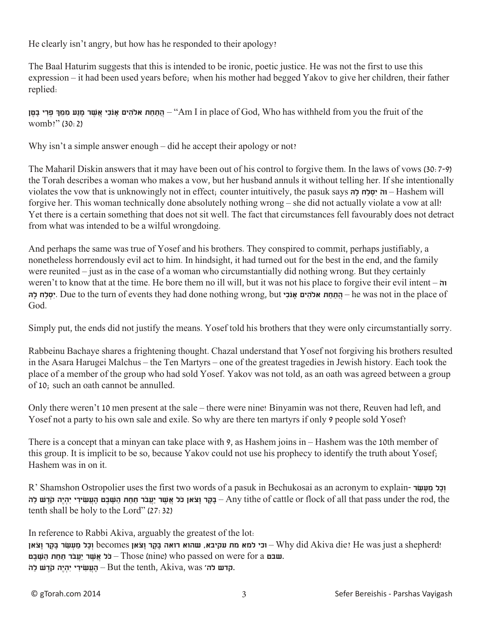He clearly isn't angry, but how has he responded to their apology?

The Baal Haturim suggests that this is intended to be ironic, poetic justice. He was not the first to use this expression – it had been used years before; when his mother had begged Yakov to give her children, their father replied:

 the of fruit the you from withheld has Who ,God of place in I Am – "**הֲתַ חַ ת אֹלהִ ים ָאנֹכִ י אֲשֶ ׁר מָ נַע מִ מֵ ְּך פְ ּרִ י בָטֶ ן** womb?" (30:2)

Why isn't a simple answer enough – did he accept their apology or not?

The Maharil Diskin answers that it may have been out of his control to forgive them. In the laws of vows (30:7-9) the Torah describes a woman who makes a vow, but her husband annuls it without telling her. If she intentionally violates the vow that is unknowingly not in effect; counter intuitively, the pasuk says **הָּל חַל ְסִי ֹוה** – Hashem will forgive her. This woman technically done absolutely nothing wrong – she did not actually violate a vow at all! Yet there is a certain something that does not sit well. The fact that circumstances fell favourably does not detract from what was intended to be a wilful wrongdoing.

And perhaps the same was true of Yosef and his brothers. They conspired to commit, perhaps justifiably, a nonetheless horrendously evil act to him. In hindsight, it had turned out for the best in the end, and the family were reunited – just as in the case of a woman who circumstantially did nothing wrong. But they certainly weren't to know that at the time. He bore them no ill will, but it was not his place to forgive their evil intent – **ֹוה יִסלח להּ** Lue to the turn of events they had done nothing wrong, but **יִסלח להּ** – he was not in the place of God.

Simply put, the ends did not justify the means. Yosef told his brothers that they were only circumstantially sorry.

Rabbeinu Bachaye shares a frightening thought. Chazal understand that Yosef not forgiving his brothers resulted in the Asara Harugei Malchus – the Ten Martyrs – one of the greatest tragedies in Jewish history. Each took the place of a member of the group who had sold Yosef. Yakov was not told, as an oath was agreed between a group of 10; such an oath cannot be annulled.

Only there weren't 10 men present at the sale – there were nine! Binyamin was not there, Reuven had left, and Yosef not a party to his own sale and exile. So why are there ten martyrs if only 9 people sold Yosef?

There is a concept that a minyan can take place with 9, as Hashem joins in – Hashem was the 10th member of this group. It is implicit to be so, because Yakov could not use his prophecy to identify the truth about Yosef; Hashem was in on it.

R' Shamshon Ostropolier uses the first two words of a pasuk in Bechukosai as an acronym to explain- **וכל מעשו**ר בָּקָר וַצֹּאן כֹּל אֲשֶׁר יַעֲבֹר תַּחַת הַשָּׁבֵּט הָעֲשִׂירִי יִהְיֶה קֹדָשׁ לַה – Any tithe of cattle or flock of all that pass under the rod, the tenth shall be holy to the Lord" (27:32)

In reference to Rabbi Akiva, arguably the greatest of the lot: !shepherd a just was He? die Akiva did Why – **וכי למא מת עקיבא, שהוא רואה בָּקָ ר וָצֹאן** becomes **וְכָל מַ עְ שַ ׂר בָּקָ ר וָצֹאן שבט** a for a inne) who passed on were for a – כֹּל אֲשֶׁר יַעֲבֹר תַּחַת הַשָּׁבֵט – Those (nine) who **.קדש לה׳ But the tenth, Akiva, was – הָעֲשִׂירִי יִהְיֶה קֹדֶשׁ לַה**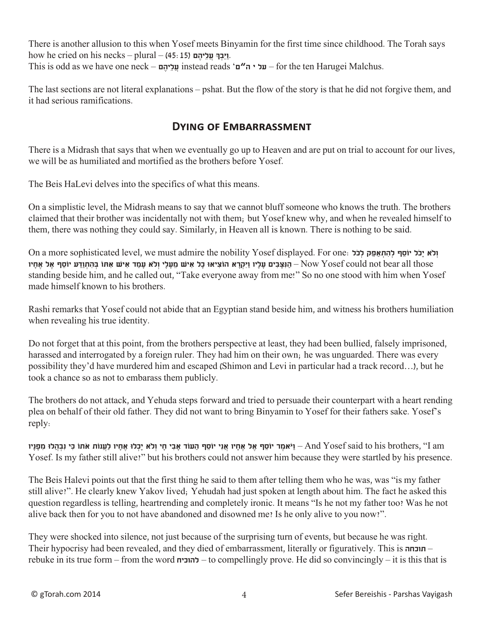There is another allusion to this when Yosef meets Binyamin for the first time since childhood. The Torah says how he cried on his necks – plural – (45:15) **- וַיֵּבְךָּ עֲלֵיהֶם**. This is odd as we have one neck – **ם ֶיהֵלֲע** instead reads '**ם"ה י על** – for the ten Harugei Malchus.

The last sections are not literal explanations – pshat. But the flow of the story is that he did not forgive them, and it had serious ramifications.

### **Dying of Embarrassment**

There is a Midrash that says that when we eventually go up to Heaven and are put on trial to account for our lives, we will be as humiliated and mortified as the brothers before Yosef.

The Beis HaLevi delves into the specifics of what this means.

On a simplistic level, the Midrash means to say that we cannot bluff someone who knows the truth. The brothers claimed that their brother was incidentally not with them; but Yosef knew why, and when he revealed himself to them, there was nothing they could say. Similarly, in Heaven all is known. There is nothing to be said.

**Cha a more sophisticated level, we must admire the nobility Yosef displayed. For one: ולא יכל יוֹסַף להתאפק לכֹל**  those all bear not could Yosef Now – **הַ נִּצָ ּבִ ים עָ לָיו וַיִּקְ רָ א הוֹצִ יאּו כָל אִ יׁש מֵ עָ לָי וְֹלא עָ מַ ד אִ יׁש אִ ּתוֹ בְ ּהִ תְ וַדַ ּע יוֹסֵ ף אֶ ל אֶ חָ יו** standing beside him, and he called out, "Take everyone away from me!" So no one stood with him when Yosef made himself known to his brothers.

Rashi remarks that Yosef could not abide that an Egyptian stand beside him, and witness his brothers humiliation when revealing his true identity.

Do not forget that at this point, from the brothers perspective at least, they had been bullied, falsely imprisoned, harassed and interrogated by a foreign ruler. They had him on their own; he was unguarded. There was every possibility they'd have murdered him and escaped (Shimon and Levi in particular had a track record…), but he took a chance so as not to embarass them publicly.

The brothers do not attack, and Yehuda steps forward and tried to persuade their counterpart with a heart rending plea on behalf of their old father. They did not want to bring Binyamin to Yosef for their fathers sake. Yosef's reply:

am – וַיֹּאמֵר יוֹסֵף אָל אָחָיו אַנִי יוֹסַף הַעוֹד אַבִי חַי וְלֹא יַכְלוּ אָחִיו לַעֲנוֹת אֹתוֹ כִּי וְבִהֲלוּ מִפָּנִיוּ – And Yosef said to his brothers, ''I am Yosef. Is my father still alive?" but his brothers could not answer him because they were startled by his presence.

The Beis Halevi points out that the first thing he said to them after telling them who he was, was "is my father still alive?". He clearly knew Yakov lived; Yehudah had just spoken at length about him. The fact he asked this question regardless is telling, heartrending and completely ironic. It means "Is he not my father too? Was he not alive back then for you to not have abandoned and disowned me? Is he only alive to you now?".

They were shocked into silence, not just because of the surprising turn of events, but because he was right. Their hypocrisy had been revealed, and they died of embarrassment, literally or figuratively. This is **תוכחה** – rebuke in its true form – from the word **להוכיח** – to compellingly prove. He did so convincingly – it is this that is